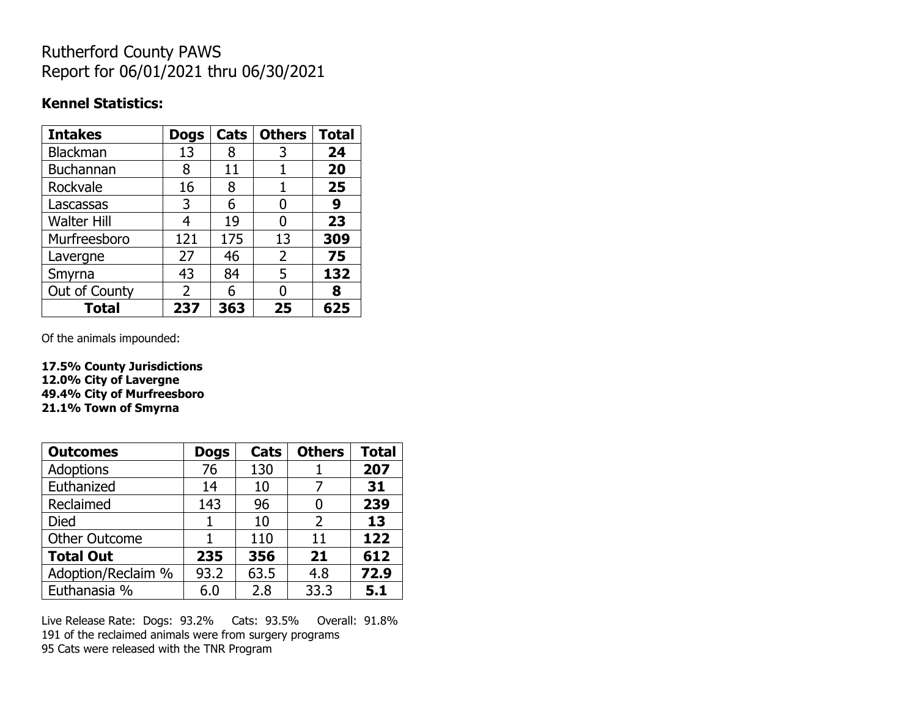# Rutherford County PAWS Report for 06/01/2021 thru 06/30/2021

### **Kennel Statistics:**

| <b>Intakes</b>     | <b>Dogs</b>   | Cats | <b>Others</b> | <b>Total</b> |
|--------------------|---------------|------|---------------|--------------|
| Blackman           | 13            | 8    | 3             | 24           |
| <b>Buchannan</b>   | 8             | 11   |               | 20           |
| Rockvale           | 16            | 8    | 1             | 25           |
| Lascassas          | 3             | 6    | 0             | 9            |
| <b>Walter Hill</b> | 4             | 19   | 0             | 23           |
| Murfreesboro       | 121           | 175  | 13            | 309          |
| Lavergne           | 27            | 46   | 2             | 75           |
| Smyrna             | 43            | 84   | 5             | 132          |
| Out of County      | $\mathcal{P}$ | 6    | O             | 8            |
| <b>Total</b>       | 237           | 363  | 25            | 625          |

Of the animals impounded:

**17.5% County Jurisdictions 12.0% City of Lavergne 49.4% City of Murfreesboro 21.1% Town of Smyrna**

| <b>Outcomes</b>      | <b>Dogs</b> | Cats | <b>Others</b> | <b>Total</b> |
|----------------------|-------------|------|---------------|--------------|
| Adoptions            | 76          | 130  |               | 207          |
| Euthanized           | 14          | 10   |               | 31           |
| Reclaimed            | 143         | 96   |               | 239          |
| <b>Died</b>          |             | 10   | $\mathcal{P}$ | 13           |
| <b>Other Outcome</b> |             | 110  | 11            | 122          |
| <b>Total Out</b>     | 235         | 356  | 21            | 612          |
| Adoption/Reclaim %   | 93.2        | 63.5 | 4.8           | 72.9         |
| Euthanasia %         | 6.0         | 2.8  | 33.3          | 5.1          |

Live Release Rate: Dogs: 93.2% Cats: 93.5% Overall: 91.8% 191 of the reclaimed animals were from surgery programs 95 Cats were released with the TNR Program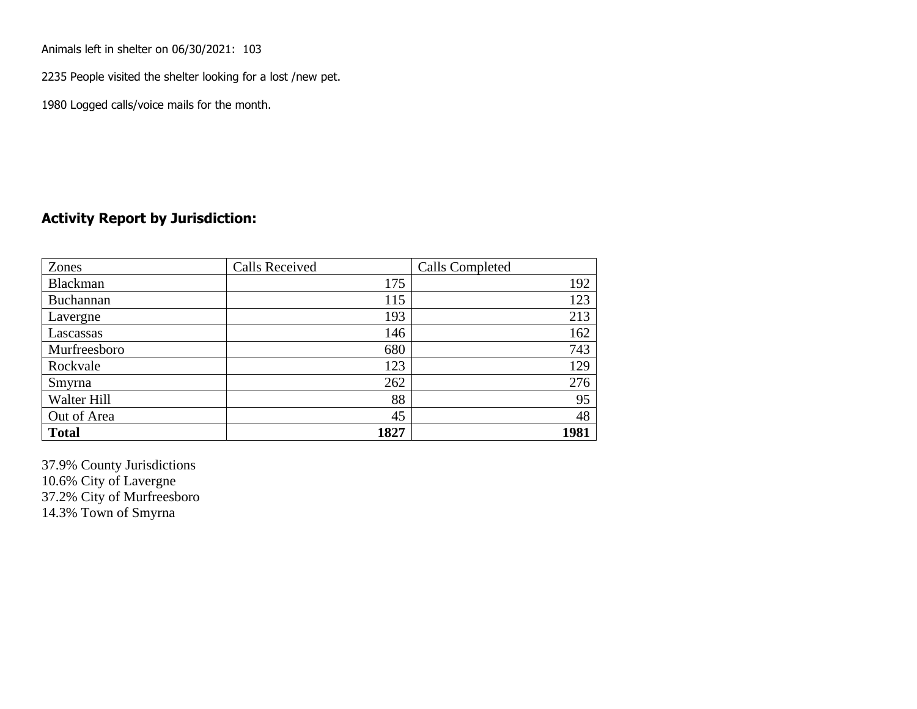Animals left in shelter on 06/30/2021: 103

2235 People visited the shelter looking for a lost /new pet.

1980 Logged calls/voice mails for the month.

#### **Activity Report by Jurisdiction:**

| Zones           | <b>Calls Received</b> | Calls Completed |
|-----------------|-----------------------|-----------------|
| <b>Blackman</b> | 175                   | 192             |
| Buchannan       | 115                   | 123             |
| Lavergne        | 193                   | 213             |
| Lascassas       | 146                   | 162             |
| Murfreesboro    | 680                   | 743             |
| Rockvale        | 123                   | 129             |
| Smyrna          | 262                   | 276             |
| Walter Hill     | 88                    | 95              |
| Out of Area     | 45                    | 48              |
| <b>Total</b>    | 1827                  | 1981            |

37.9% County Jurisdictions 10.6% City of Lavergne 37.2% City of Murfreesboro 14.3% Town of Smyrna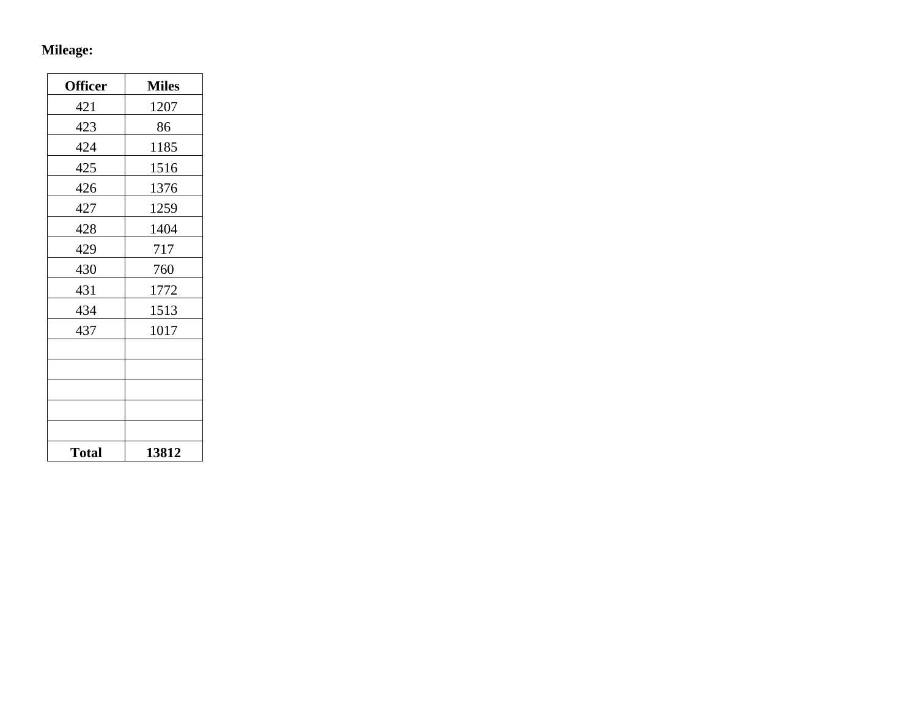## **Mileage:**

| <b>Officer</b> | <b>Miles</b> |
|----------------|--------------|
| 421            | 1207         |
| 423            | 86           |
| 424            | 1185         |
| 425            | 1516         |
| 426            | 1376         |
| 427            | 1259         |
| 428            | 1404         |
| 429            | 717          |
| 430            | 760          |
| 431            | 1772         |
| 434            | 1513         |
| 437            | 1017         |
|                |              |
|                |              |
|                |              |
|                |              |
|                |              |
| <b>Total</b>   | 13812        |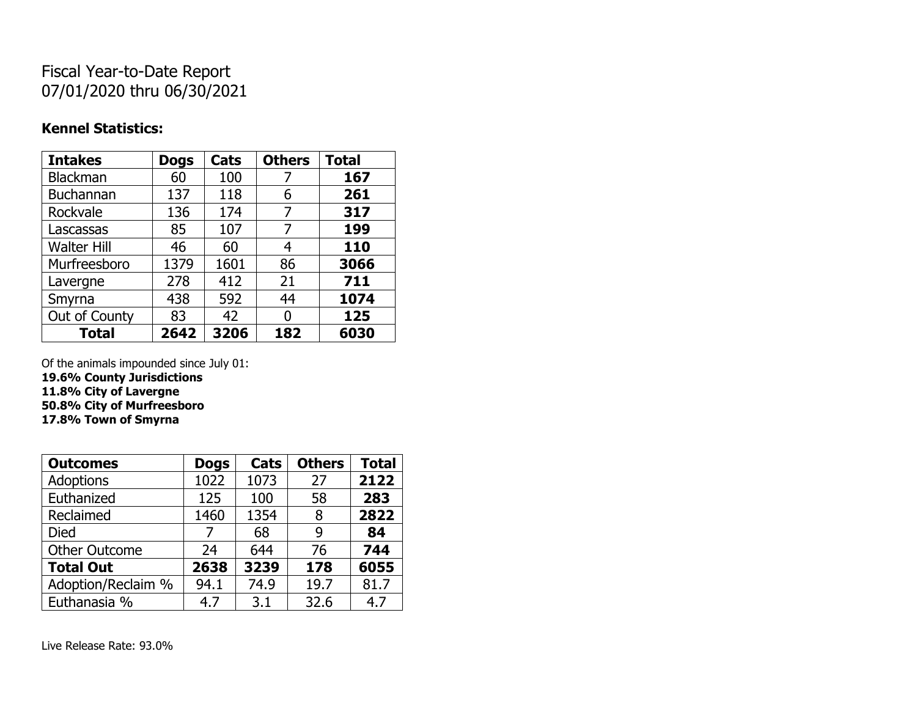# Fiscal Year-to-Date Report 07/01/2020 thru 06/30/2021

#### **Kennel Statistics:**

| <b>Intakes</b>     | <b>Dogs</b> | Cats | <b>Others</b> | <b>Total</b> |
|--------------------|-------------|------|---------------|--------------|
| <b>Blackman</b>    | 60          | 100  | 7             | 167          |
| <b>Buchannan</b>   | 137         | 118  | 6             | 261          |
| Rockvale           | 136         | 174  | 7             | 317          |
| Lascassas          | 85          | 107  | 7             | 199          |
| <b>Walter Hill</b> | 46          | 60   | 4             | 110          |
| Murfreesboro       | 1379        | 1601 | 86            | 3066         |
| Lavergne           | 278         | 412  | 21            | 711          |
| Smyrna             | 438         | 592  | 44            | 1074         |
| Out of County      | 83          | 42   | 0             | 125          |
| <b>Total</b>       | 2642        | 3206 | 182           | 6030         |

Of the animals impounded since July 01:

**19.6% County Jurisdictions**

**11.8% City of Lavergne**

**50.8% City of Murfreesboro 17.8% Town of Smyrna**

| <b>Outcomes</b>      | <b>Dogs</b> | Cats | <b>Others</b> | <b>Total</b> |
|----------------------|-------------|------|---------------|--------------|
| <b>Adoptions</b>     | 1022        | 1073 | 27            | 2122         |
| Euthanized           | 125         | 100  | 58            | 283          |
| Reclaimed            | 1460        | 1354 | 8             | 2822         |
| <b>Died</b>          | 7           | 68   | 9             | 84           |
| <b>Other Outcome</b> | 24          | 644  | 76            | 744          |
| <b>Total Out</b>     | 2638        | 3239 | 178           | 6055         |
| Adoption/Reclaim %   | 94.1        | 74.9 | 19.7          | 81.7         |
| Euthanasia %         | 4.7         | 3.1  | 32.6          | 4.7          |

Live Release Rate: 93.0%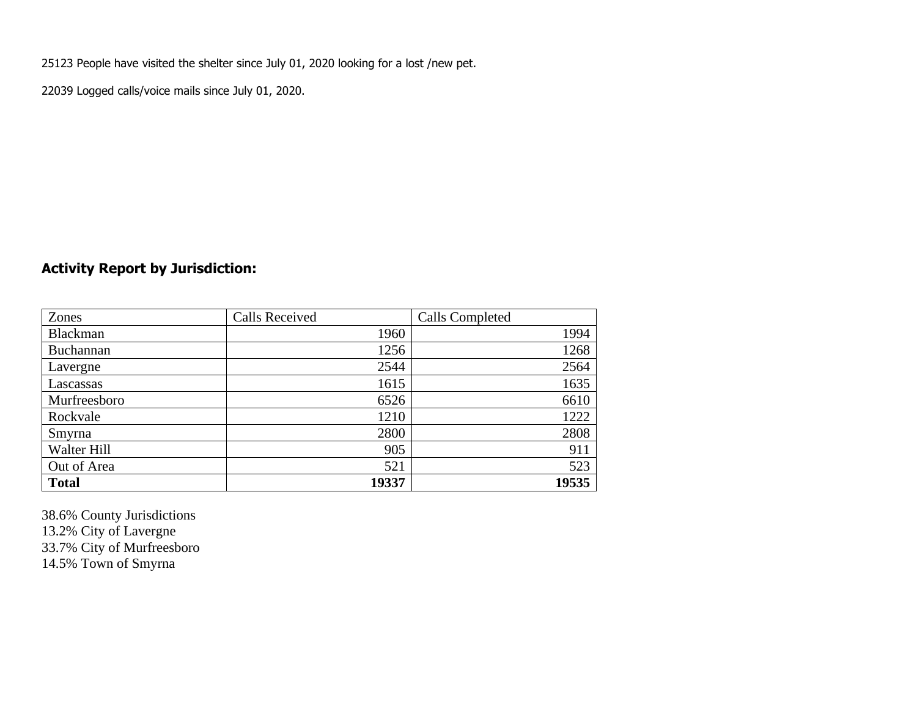25123 People have visited the shelter since July 01, 2020 looking for a lost /new pet.

22039 Logged calls/voice mails since July 01, 2020.

## **Activity Report by Jurisdiction:**

| Zones           | <b>Calls Received</b> | Calls Completed |
|-----------------|-----------------------|-----------------|
| <b>Blackman</b> | 1960                  | 1994            |
| Buchannan       | 1256                  | 1268            |
| Lavergne        | 2544                  | 2564            |
| Lascassas       | 1615                  | 1635            |
| Murfreesboro    | 6526                  | 6610            |
| Rockvale        | 1210                  | 1222            |
| Smyrna          | 2800                  | 2808            |
| Walter Hill     | 905                   | 911             |
| Out of Area     | 521                   | 523             |
| <b>Total</b>    | 19337                 | 19535           |

38.6% County Jurisdictions 13.2% City of Lavergne 33.7% City of Murfreesboro 14.5% Town of Smyrna